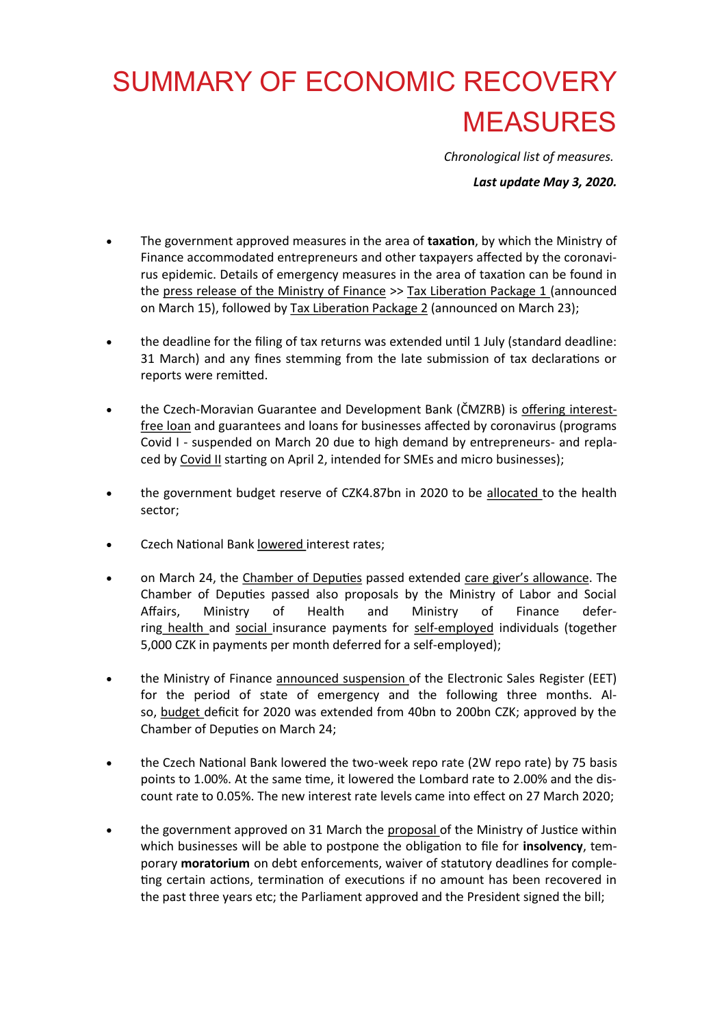# SUMMARY OF ECONOMIC RECOVERY MEASURES

*Chronological list of measures.*

*Last update May 3, 2020.*

- The government approved measures in the area of **taxation**, by which the Ministry of Finance accommodated entrepreneurs and other taxpayers affected by the coronavirus epidemic. Details of emergency measures in the area of taxation can be found in the [press release of the Ministry of Finance](https://www.mfcr.cz/cs/aktualne/tiskove-zpravy/2020/vlada-schvalila-liberacni-danovy-balicek-37844) >> [Tax Liberation Package 1](https://www.mfcr.cz/cs/aktualne/tiskove-zpravy/2020/vlada-schvalila-liberacni-danovy-balicek-37844) (announced on March 15), followed by [Tax Liberation Package 2](https://www.mfcr.cz/cs/aktualne/tiskove-zpravy/2020/ulevy-v-danove-oblasti-se-rozsiri-37943) (announced on March 23);
- the deadline for the filing of tax returns was extended until 1 July (standard deadline: 31 March) and any fines stemming from the late submission of tax declarations or reports were remitted.
- the Czech-Moravian Guarantee and Development Bank (ČMZRB) is [offering](https://www.cmzrb.cz/spoustime-prijem-zadosti-do-programu-uver-covid/) interest[free loan](https://www.cmzrb.cz/) and guarantees and loans for businesses affected by coronavirus (programs Covid I - suspended on March 20 due to high demand by entrepreneurs- and replaced by [Covid II](https://www.cmzrb.cz/podnikatele/zaruky/zaruka-covid-ii/) starting on April 2, intended for SMEs and micro businesses);
- the government budget reserve of CZK4.87bn in 2020 to be [allocated](https://www.mfcr.cz/cs/aktualne/tiskove-zpravy/2020/vladni-rozpoctova-rezerva-bude-alokovana-37843) to the health sector;
- Czech National Bank [lowered](https://www.cnb.cz/cs/cnb-news/tiskove-zpravy/CNB-prijima-stabilizacni-opatreni-v-souvislosti-s-epidemii-koronaviru/) interest rates;
- on March 24, the [Chamber of Deputies](http://www.psp.cz/eknih/2017ps/audio/2020/03/24/index.htm) passed extended care giver'[s allowance.](https://www.mpsv.cz/documents/20142/1248138/24_03+TZ+-+Osetrovne+az+do+13.+narozenin+a+po+celou+dobu+uzavreni+skol.pdf/16acaa9e-e97b-83c1-7dcd-7b0d1bdb12b5) The Chamber of Deputies passed also proposals by the Ministry of Labor and Social Affairs, Ministry of Health and Ministry of Finance deferring [h](https://www.mpsv.cz/documents/20142/1248138/24_03+TZ+-+Snemovna+podporila+odpusteni+povinneho+duchodoveho+pojisteni+pro+OSVC.pdf/df9cab2d-fc75-5d2c-dfed-9f3fb3d80afe)[ealth](https://koronavirus.mzcr.cz/parlament-schvalil-opatreni-na-podporu-platcu-pojistneho/) and [social](http://www.mpsv.cz/documents/20142/1248138/24_03+TZ+-+Snemovna+podporila+odpus) insurance payments for self-[employed](https://www.mfcr.cz/cs/aktualne/tiskove-zpravy/2020/zivnostnici-usetri-na-pojistnem-37960) individuals (together 5,000 CZK in payments per month deferred for a self-employed);
- the Ministry of Finance [announced](https://www.mfcr.cz/cs/aktualne/tiskove-zpravy/2020/ulevy-v-danove-oblasti-se-rozsiri-37943) suspension of the Electronic Sales Register (EET) for the period of state of emergency and the following three months. Also, [budget](https://www.mfcr.cz/cs/aktualne/tiskove-zpravy/2020/vlada-schvalila-novelu-zakona-o-statnim-37959) deficit for 2020 was extended from 40bn to 200bn CZK; approved by the Chamber of Deputies on March 24;
- the Czech National Bank lowered the two-week repo rate (2W repo rate) by 75 basis points to 1.00%. At the same time, it lowered the Lombard rate to 2.00% and the discount rate to 0.05%. The new interest rate levels came into effect on 27 March 2020;
- the government approved on 31 March the [proposal](https://justice.cz/?clanek=jak-za-soucasne-situace-resit-exekuce-a-insolvenc-1) of the Ministry of Justice within which businesses will be able to postpone the obligation to file for **insolvency**, temporary **moratorium** on debt enforcements, waiver of statutory deadlines for completing certain actions, termination of executions if no amount has been recovered in the past three years etc; the Parliament approved and the President signed the bill;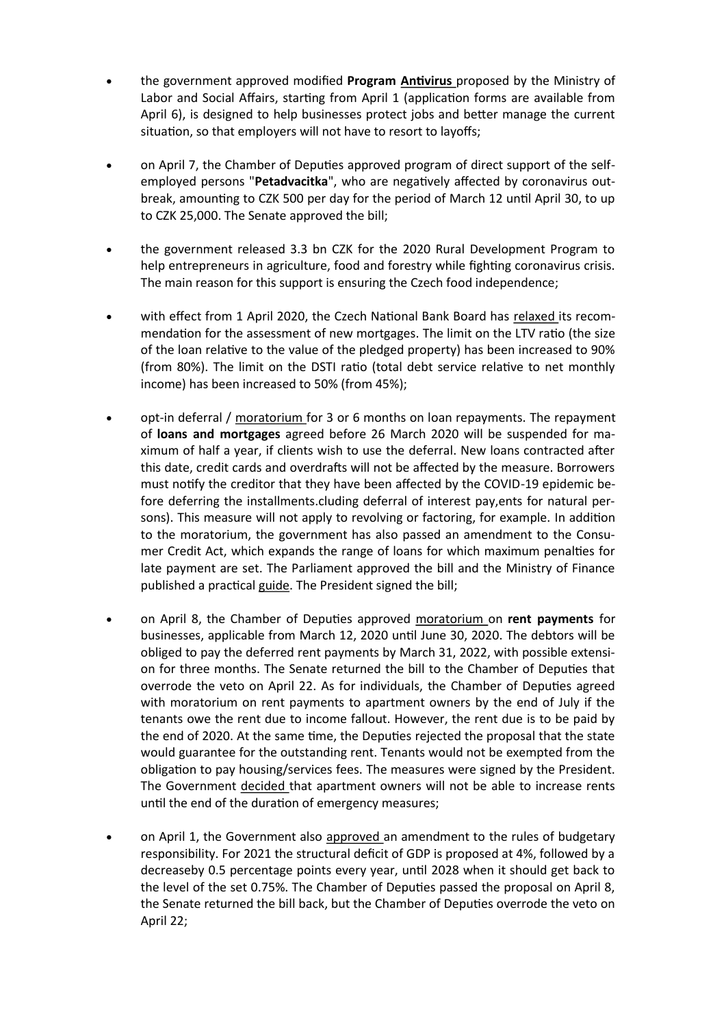- the government approved modified **Program [Antivirus](https://www.mpsv.cz/web/cz/antivirus)** proposed by the Ministry of Labor and Social Affairs, starting from April 1 (application forms are available from April 6), is designed to help businesses protect jobs and better manage the current situation, so that employers will not have to resort to layoffs;
- on April 7, the Chamber of Deputies approved program of direct support of the selfemployed persons "**Petadvacitka**", who are negatively affected by coronavirus outbreak, amounting to CZK 500 per day for the period of March 12 until April 30, to up to CZK 25,000. The Senate approved the bill;
- the government released 3.3 bn CZK for the 2020 Rural Development Program to help entrepreneurs in agriculture, food and forestry while fighting coronavirus crisis. The main reason for this support is ensuring the Czech food independence;
- with effect from 1 April 2020, the Czech National Bank Board has [relaxed](https://www.cnb.cz/en/cnb-news/press-releases/CNB-relaxes-credit-ratio-limits-for-new-mortgages/) its recommendation for the assessment of new mortgages. The limit on the LTV ratio (the size of the loan relative to the value of the pledged property) has been increased to 90% (from 80%). The limit on the DSTI ratio (total debt service relative to net monthly income) has been increased to 50% (from 45%);
- opt-in deferral / [moratorium](https://www.mfcr.cz/cs/aktualne/tiskove-zpravy/2020/vlada-schvalila-moratorium-na-splatky-uv-38077) for 3 or 6 months on loan repayments. The repayment of **loans and mortgages** agreed before 26 March 2020 will be suspended for maximum of half a year, if clients wish to use the deferral. New loans contracted after this date, credit cards and overdrafts will not be affected by the measure. Borrowers must notify the creditor that they have been affected by the COVID-19 epidemic before deferring the installments.cluding deferral of interest pay,ents for natural persons). This measure will not apply to revolving or factoring, for example. In addition to the moratorium, the government has also passed an amendment to the Consumer Credit Act, which expands the range of loans for which maximum penalties for late payment are set. The Parliament approved the bill and the Ministry of Finance published a practical [guide.](https://www.mfcr.cz/cs/o-ministerstvu/sluzby-verejnosti/komunikace-s-verejnosti/casto-kladene-otazky/uverove-moratorium-38130) The President signed the bill;
- on April 8, the Chamber of Deputies approved [moratorium](https://www.mpo.cz/cz/rozcestnik/pro-media/tiskove-zpravy/vlada-schvalila-odklad-najemneho-pro-podnikatele--253792/) on **rent payments** for businesses, applicable from March 12, 2020 until June 30, 2020. The debtors will be obliged to pay the deferred rent payments by March 31, 2022, with possible extension for three months. The Senate returned the bill to the Chamber of Deputies that overrode the veto on April 22. As for individuals, the Chamber of Deputies agreed with moratorium on rent payments to apartment owners by the end of July if the tenants owe the rent due to income fallout. However, the rent due is to be paid by the end of 2020. At the same time, the Deputies rejected the proposal that the state would guarantee for the outstanding rent. Tenants would not be exempted from the obligation to pay housing/services fees. The measures were signed by the President. The Government [decided](https://www.mfcr.cz/cs/aktualne/tiskove-zpravy/2020/najemne-z-bytu-se-behem-mimoradnych-opat-38290) that apartment owners will not be able to increase rents until the end of the duration of emergency measures;
- on April 1, the Government also [approved](https://www.mfcr.cz/cs/aktualne/tiskove-zpravy/2020/novela-pravidel-rozpoctove-odpovednosti-38079) an amendment to the rules of budgetary responsibility. For 2021 the structural deficit of GDP is proposed at 4%, followed by a decreaseby 0.5 percentage points every year, until 2028 when it should get back to the level of the set 0.75%. The Chamber of Deputies passed the proposal on April 8, the Senate returned the bill back, but the Chamber of Deputies overrode the veto on April 22;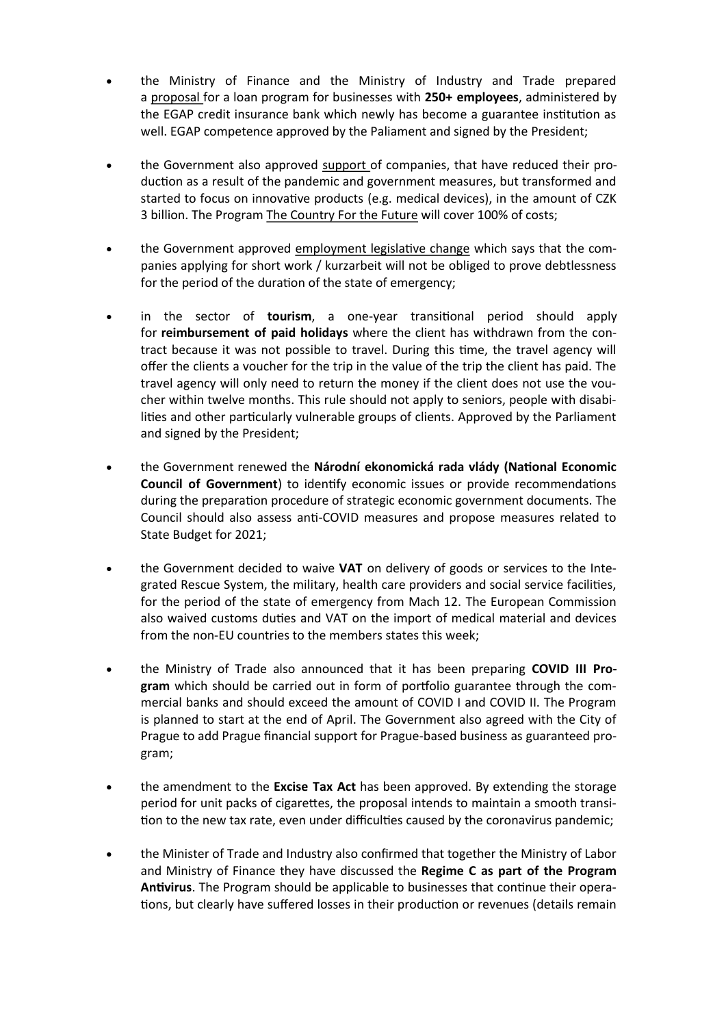- the Ministry of Finance and the Ministry of Industry and Trade prepared a [proposal](https://www.mfcr.cz/cs/aktualne/tiskove-zpravy/2020/mf-podpori-ceske-podniky-prostrednictvim-38080) for a loan program for businesses with **250+ employees**, administered by the EGAP credit insurance bank which newly has become a guarantee institution as well. EGAP competence approved by the Paliament and signed by the President;
- the Government also approved [support](https://www.countryforfuture.com/ministerstvo-prumyslu-a-obchodu-podpori-vyvoj-a-vyrobu-respiratoru-i-dalsi-technologie-proti-covid-19/) of companies, that have reduced their production as a result of the pandemic and government measures, but transformed and started to focus on innovative products (e.g. medical devices), in the amount of CZK 3 billion. The Program [The Country For the Future](https://www.countryforfuture.com/prehled-financnich-nastroju-pro-inovacni-projekty-souvisejici-s-pandemii-covid-19/) will cover 100% of costs;
- the Government approved [employment legislative change](http://www.mpsv.cz/documents/20142/1248138/01_04_2020_TZ_zmena_zakona_o_zamestnanosti.pdf/037584a4-6138-0a44-57cc-23941b7b0b2f) which says that the companies applying for short work / kurzarbeit will not be obliged to prove debtlessness for the period of the duration of the state of emergency;
- in the sector of **tourism**, a one-year transitional period should apply for **reimbursement of paid holidays** where the client has withdrawn from the contract because it was not possible to travel. During this time, the travel agency will offer the clients a voucher for the trip in the value of the trip the client has paid. The travel agency will only need to return the money if the client does not use the voucher within twelve months. This rule should not apply to seniors, people with disabilities and other particularly vulnerable groups of clients. Approved by the Parliament and signed by the President;
- the Government renewed the **Národní ekonomická rada vlády (National Economic Council of Government**) to identify economic issues or provide recommendations during the preparation procedure of strategic economic government documents. The Council should also assess anti-COVID measures and propose measures related to State Budget for 2021;
- the Government decided to waive **VAT** on delivery of goods or services to the Integrated Rescue System, the military, health care providers and social service facilities, for the period of the state of emergency from Mach 12. The European Commission also waived customs duties and VAT on the import of medical material and devices from the non-EU countries to the members states this week;
- the Ministry of Trade also announced that it has been preparing **COVID III Program** which should be carried out in form of portfolio guarantee through the commercial banks and should exceed the amount of COVID I and COVID II. The Program is planned to start at the end of April. The Government also agreed with the City of Prague to add Prague financial support for Prague-based business as guaranteed program;
- the amendment to the **Excise Tax Act** has been approved. By extending the storage period for unit packs of cigarettes, the proposal intends to maintain a smooth transition to the new tax rate, even under difficulties caused by the coronavirus pandemic;
- the Minister of Trade and Industry also confirmed that together the Ministry of Labor and Ministry of Finance they have discussed the **Regime C as part of the Program Antivirus**. The Program should be applicable to businesses that continue their operations, but clearly have suffered losses in their production or revenues (details remain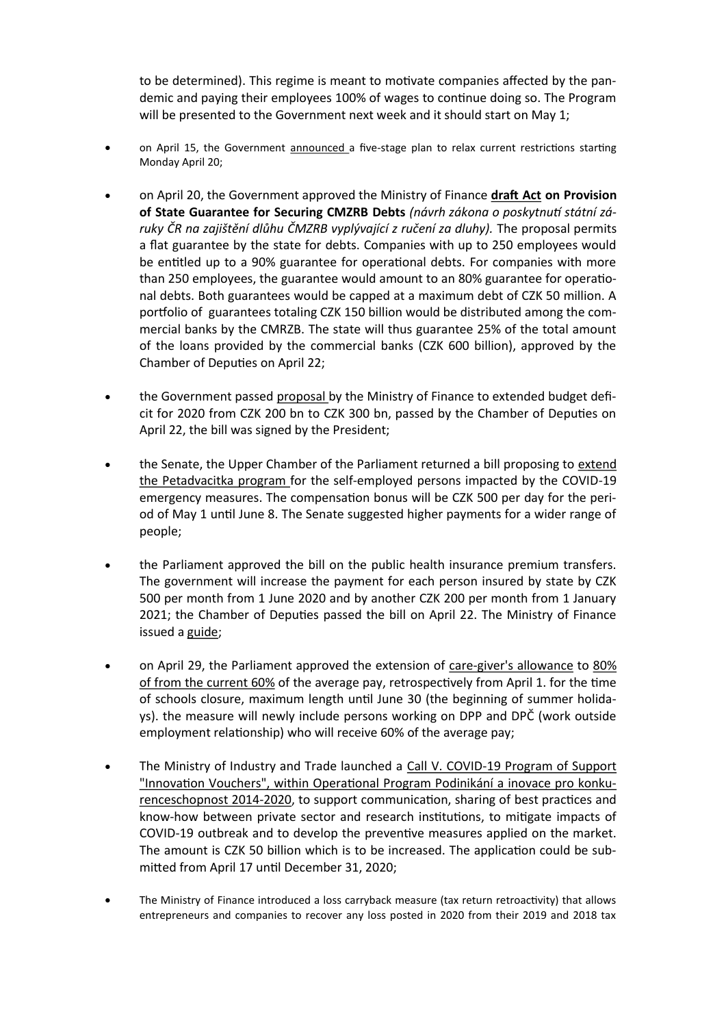to be determined). This regime is meant to motivate companies affected by the pandemic and paying their employees 100% of wages to continue doing so. The Program will be presented to the Government next week and it should start on May 1;

- on April 15, the Government [announced](https://www.vlada.cz/en/media-centrum/aktualne/government-discusses-proposal-for-gradually-easing-exceptional-measures-181015/) a five-stage plan to relax current restrictions starting Monday April 20;
- on April 20, the Government approved the Ministry of Finance **[draft Act](https://www.mfcr.cz/cs/aktualne/tiskove-zpravy/2020/statni-zaruky-ve-vysi-150-miliard-ozivi-38247) on Provision of State Guarantee for Securing CMZRB Debts** *(návrh zákona o poskytnutí státní záruky ČR na zajištění dlůhu ČMZRB vyplývající z ručení za dluhy).* The proposal permits a flat guarantee by the state for debts. Companies with up to 250 employees would be entitled up to a 90% guarantee for operational debts. For companies with more than 250 employees, the guarantee would amount to an 80% guarantee for operational debts. Both guarantees would be capped at a maximum debt of CZK 50 million. A portfolio of guarantees totaling CZK 150 billion would be distributed among the commercial banks by the CMRZB. The state will thus guarantee 25% of the total amount of the loans provided by the commercial banks (CZK 600 billion), approved by the Chamber of Deputies on April 22;
- the Government passed [proposal](https://www.mfcr.cz/cs/aktualne/tiskove-zpravy/2020/vlada-schvalila-aktualizovanou-novelu-st-38245) by the Ministry of Finance to extended budget deficit for 2020 from CZK 200 bn to CZK 300 bn, passed by the Chamber of Deputies on April 22, the bill was signed by the President;
- the Senate, the Upper Chamber of the Parliament returned a bill proposing to [extend](https://www.mfcr.cz/cs/aktualne/tiskove-zpravy/2020/ministerstvo-financi-predstavilo-pokraco-38228)  [the Petadvacitka program](https://www.mfcr.cz/cs/aktualne/tiskove-zpravy/2020/ministerstvo-financi-predstavilo-pokraco-38228) for the self-employed persons impacted by the COVID-19 emergency measures. The compensation bonus will be CZK 500 per day for the period of May 1 until June 8. The Senate suggested higher payments for a wider range of people;
- the Parliament approved the bill on the public health insurance premium transfers. The government will increase the payment for each person insured by state by CZK 500 per month from 1 June 2020 and by another CZK 200 per month from 1 January 2021; the Chamber of Deputies passed the bill on April 22. The Ministry of Finance issued a [guide;](https://www.mfcr.cz/cs/o-ministerstvu/sluzby-verejnosti/komunikace-s-verejnosti/casto-kladene-otazky/kompenzacni-bonus-pro-osvc-ve-vysi-25-ti-38072)
- on April 29, the Parliament approved the extension of care-[giver's allowance](https://www.mpsv.cz/web/cz/osetrovne) to [80%](https://www.mpsv.cz/web/cz/-/osetrovne-se-zrejme-zvysi-na-80-narok-budou-mit-i-dpp-a-dpc-navrh-ministryne-malacove-podporila-snemovna)  [of](https://www.mpsv.cz/web/cz/-/osetrovne-se-zrejme-zvysi-na-80-narok-budou-mit-i-dpp-a-dpc-navrh-ministryne-malacove-podporila-snemovna) [from the current 60%](https://www.mpsv.cz/web/cz/-/osetrovne-se-zrejme-zvysi-na-80-narok-budou-mit-i-dpp-a-dpc-navrh-ministryne-malacove-podporila-snemovna) of the average pay, retrospectively from April 1. for the time of schools closure, maximum length until June 30 (the beginning of summer holidays). the measure will newly include persons working on DPP and DPČ (work outside employment relationship) who will receive 60% of the average pay;
- The Ministry of Industry and Trade launched a Call V. COVID-[19 Program of Support](https://www.mpo.cz/cz/podnikani/dotace-a-podpora-podnikani/oppik-2014-2020/vyzvy-op-pik-2020/vyzva-v--covid-19-programu-podpory-inovacni-vouchery--254025/)  ["Innovation Vouchers", within Operational Program Podinikání a inovace pro konku](https://www.mpo.cz/cz/podnikani/dotace-a-podpora-podnikani/oppik-2014-2020/vyzvy-op-pik-2020/vyzva-v--covid-19-programu-podpory-inovacni-vouchery--254025/)[renceschopnost 2014](https://www.mpo.cz/cz/podnikani/dotace-a-podpora-podnikani/oppik-2014-2020/vyzvy-op-pik-2020/vyzva-v--covid-19-programu-podpory-inovacni-vouchery--254025/)-2020, to support communication, sharing of best practices and know-how between private sector and research institutions, to mitigate impacts of COVID-19 outbreak and to develop the preventive measures applied on the market. The amount is CZK 50 billion which is to be increased. The application could be submitted from April 17 until December 31, 2020;
- The Ministry of Finance introduced a loss carryback measure (tax return retroactivity) that allows entrepreneurs and companies to recover any loss posted in 2020 from their 2019 and 2018 tax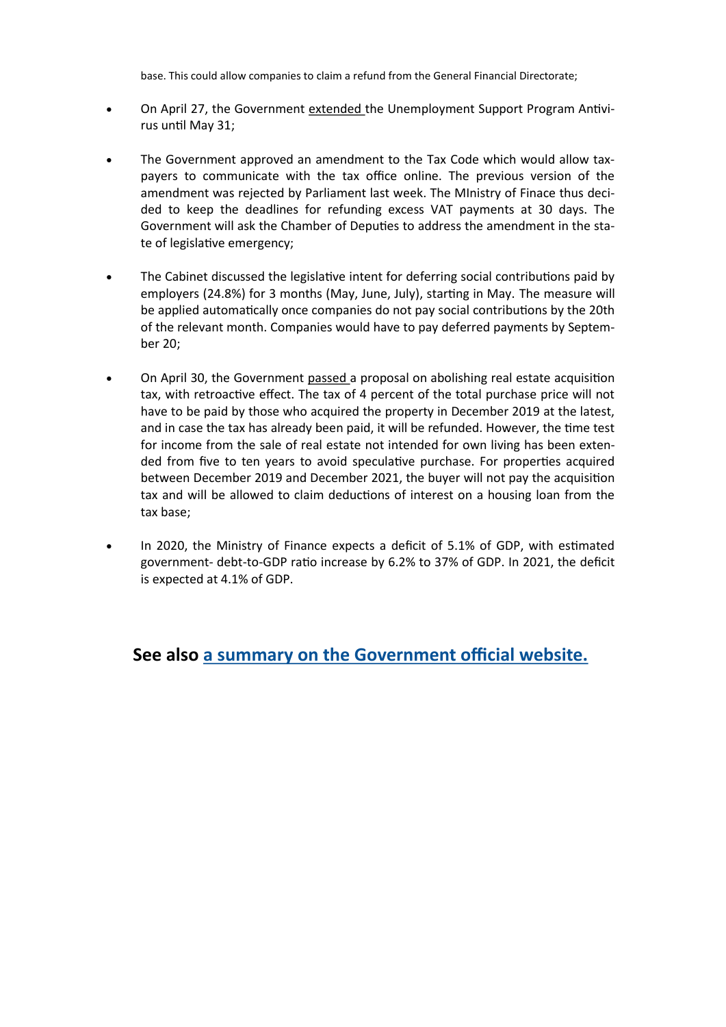base. This could allow companies to claim a refund from the General Financial Directorate;

- On April 27, the Government [extended](https://www.mpsv.cz/documents/20142/1248138/27_04_2020_TZ_antivirus_prodlouzen_do_kvetna.pdf) the Unemployment Support Program Antivirus until May 31;
- The Government approved an amendment to the Tax Code which would allow taxpayers to communicate with the tax office online. The previous version of the amendment was rejected by Parliament last week. The MInistry of Finace thus decided to keep the deadlines for refunding excess VAT payments at 30 days. The Government will ask the Chamber of Deputies to address the amendment in the state of legislative emergency;
- The Cabinet discussed the legislative intent for deferring social contributions paid by employers (24.8%) for 3 months (May, June, July), starting in May. The measure will be applied automatically once companies do not pay social contributions by the 20th of the relevant month. Companies would have to pay deferred payments by September 20;
- On April 30, the Government [passed](https://www.mfcr.cz/cs/aktualne/tiskove-zpravy/2020/zruseni-dane-z-nabyti-nemovitych-veci-pr-38157) a proposal on abolishing real estate acquisition tax, with retroactive effect. The tax of 4 percent of the total purchase price will not have to be paid by those who acquired the property in December 2019 at the latest, and in case the tax has already been paid, it will be refunded. However, the time test for income from the sale of real estate not intended for own living has been extended from five to ten years to avoid speculative purchase. For properties acquired between December 2019 and December 2021, the buyer will not pay the acquisition tax and will be allowed to claim deductions of interest on a housing loan from the tax base;
- In 2020, the Ministry of Finance expects a deficit of 5.1% of GDP, with estimated government- debt-to-GDP ratio increase by 6.2% to 37% of GDP. In 2021, the deficit is expected at 4.1% of GDP.

### **See also [a summary on the Government official website.](https://www.vlada.cz/cz/media-centrum/aktualne/vyhlaseni-nouzoveho-stavu-180234/)**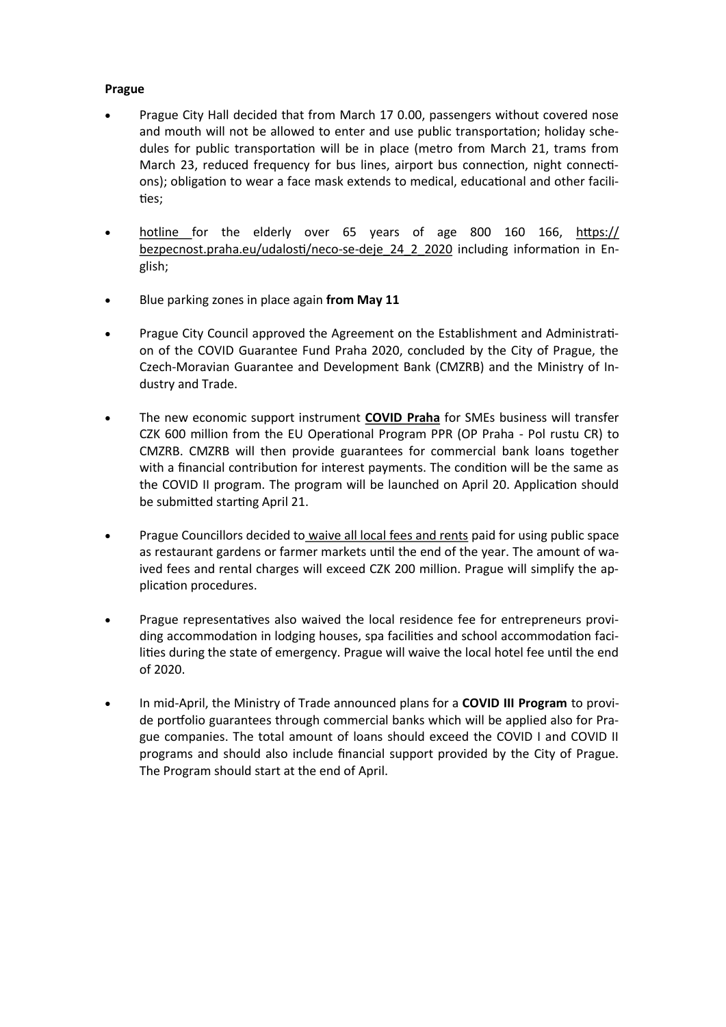#### **Prague**

- Prague City Hall decided that from March 17 0.00, passengers without covered nose and mouth will not be allowed to enter and use public transportation; holiday schedules for public transportation will be in place (metro from March 21, trams from March 23, reduced frequency for bus lines, airport bus connection, night connections); obligation to wear a face mask extends to medical, educational and other facilities;
- [hotline](https://bezpecnost.praha.eu/planovane-akce/aktualita-a-planovane-akce_12_3_2020) for the elderly over 65 years of age 800 160 166, [https://](https://bezpecnost.praha.eu/udalosti/neco-se-deje_24_2_2020) [bezpecnost.praha.eu/udalosti/neco](https://bezpecnost.praha.eu/udalosti/neco-se-deje_24_2_2020)-se-deje\_24\_2\_2020 including information in English;
- Blue parking zones in place again **from May 11**
- Prague City Council approved the Agreement on the Establishment and Administration of the COVID Guarantee Fund Praha 2020, concluded by the City of Prague, the Czech-Moravian Guarantee and Development Bank (CMZRB) and the Ministry of Industry and Trade.
- The new economic support instrument **[COVID Praha](http://www.praha.eu/jnp/cz/o_meste/magistrat/tiskovy_servis/tiskove_zpravy/praha_pripravila_pomoc_pro_podnikatele.html)** for SMEs business will transfer CZK 600 million from the EU Operational Program PPR (OP Praha - Pol rustu CR) to CMZRB. CMZRB will then provide guarantees for commercial bank loans together with a financial contribution for interest payments. The condition will be the same as the COVID II program. The program will be launched on April 20. Application should be submitted starting April 21.
- Prague Councillors decided to [waive all local fees and rents](http://www.praha.eu/jnp/cz/o_meste/magistrat/tiskovy_servis/tiskove_zpravy/prazsti_zastupitele_jednomyslne.html) paid for using public space as restaurant gardens or farmer markets until the end of the year. The amount of waived fees and rental charges will exceed CZK 200 million. Prague will simplify the application procedures.
- Prague representatives also waived the local residence fee for entrepreneurs providing accommodation in lodging houses, spa facilities and school accommodation facilities during the state of emergency. Prague will waive the local hotel fee until the end of 2020.
- In mid-April, the Ministry of Trade announced plans for a **COVID III Program** to provide portfolio guarantees through commercial banks which will be applied also for Prague companies. The total amount of loans should exceed the COVID I and COVID II programs and should also include financial support provided by the City of Prague. The Program should start at the end of April.